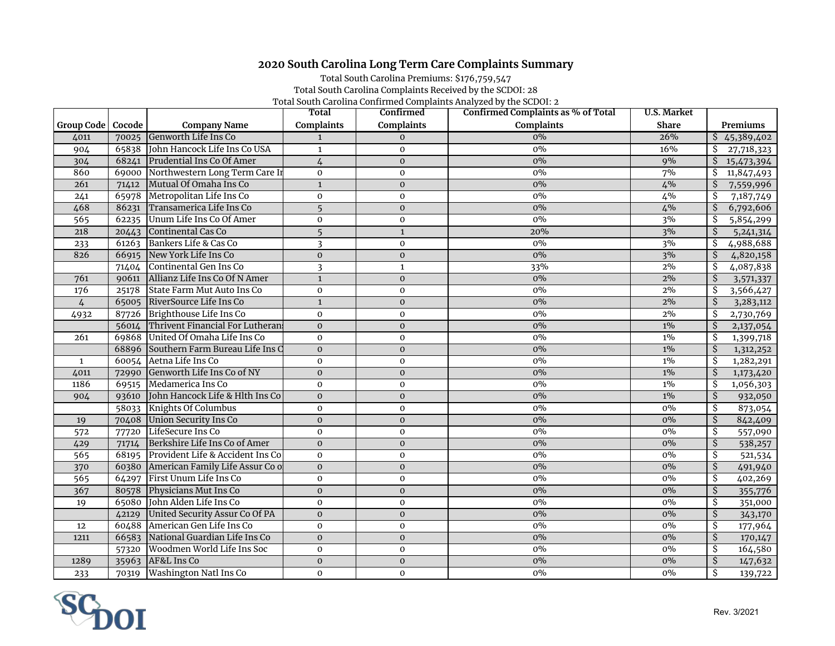## **2020 South Carolina Long Term Care Complaints Summary**

Total South Carolina Premiums: \$176,759,547 Total South Carolina Complaints Received by the SCDOI: 28 Total South Carolina Confirmed Complaints Analyzed by the SCDOI: 2

|                     |       |                                        | Total             | Confirmed         | Confirmed Complaints as % of Total | U.S. Market  |                                       |
|---------------------|-------|----------------------------------------|-------------------|-------------------|------------------------------------|--------------|---------------------------------------|
| Group Code   Cocode |       | <b>Company Name</b>                    | <b>Complaints</b> | <b>Complaints</b> | <b>Complaints</b>                  | <b>Share</b> | Premiums                              |
| 4011                | 70025 | Genworth Life Ins Co                   | $\mathbf{1}$      | $\mathbf{0}$      | $0\%$                              | 26%          | $\overline{5}$ 45,389,402             |
| 904                 |       | 65838 John Hancock Life Ins Co USA     | $\mathbf{1}$      | $\mathbf{O}$      | 0%                                 | 16%          | Ŝ.<br>27,718,323                      |
| 304                 | 68241 | Prudential Ins Co Of Amer              | $\overline{4}$    | $\mathbf{O}$      | $0\%$                              | 9%           | \$<br>15,473,394                      |
| 860                 |       | 69000 Northwestern Long Term Care In   | $\mathbf 0$       | $\mathbf 0$       | 0%                                 | 7%           | \$<br>11,847,493                      |
| 261                 | 71412 | Mutual Of Omaha Ins Co                 | $\mathbf{1}$      | $\mathbf{O}$      | $0\%$                              | 4%           | \$<br>7,559,996                       |
| 241                 |       | 65978 Metropolitan Life Ins Co         | $\mathbf 0$       | $\mathbf{O}$      | 0%                                 | $4\%$        | \$<br>7,187,749                       |
| 468                 |       | 86231 Transamerica Life Ins Co         | 5                 | $\mathbf{0}$      | $0\%$                              | 4%           | \$<br>6,792,606                       |
| $\overline{565}$    | 62235 | Unum Life Ins Co Of Amer               | $\mathbf 0$       | $\mathbf{O}$      | $0\%$                              | 3%           | \$<br>5,854,299                       |
| 218                 | 20443 | Continental Cas Co                     | 5                 | $\mathbf{1}$      | 20%                                | 3%           | Ś.<br>5, 241, 314                     |
| 233                 |       | 61263 Bankers Life & Cas Co            | 3                 | $\mathbf 0$       | $0\%$                              | 3%           | \$<br>4,988,688                       |
| 826                 | 66915 | New York Life Ins Co                   | $\mathbf 0$       | $\pmb{0}$         | $0\%$                              | 3%           | \$<br>4,820,158                       |
|                     | 71404 | Continental Gen Ins Co                 | 3                 | $\mathbf{1}$      | 33%                                | 2%           | Ŝ.<br>4,087,838                       |
| 761                 | 90611 | Allianz Life Ins Co Of N Amer          | $\mathbf{1}$      | $\mathbf{0}$      | $0\%$                              | 2%           | $\overline{\mathcal{S}}$<br>3,571,337 |
| 176                 | 25178 | State Farm Mut Auto Ins Co             | $\mathbf 0$       | $\mathbf 0$       | 0%                                 | 2%           | \$<br>3,566,427                       |
| $\overline{4}$      |       | 65005 RiverSource Life Ins Co          | $\mathbf{1}$      | $\mathbf{0}$      | $0\%$                              | 2%           | \$<br>3,283,112                       |
| 4932                |       | 87726 Brighthouse Life Ins Co          | $\mathbf 0$       | $\mathbf 0$       | $0\%$                              | 2%           | \$<br>2,730,769                       |
|                     |       | 56014 Thrivent Financial For Lutheran  | $\mathbf{O}$      | $\mathbf{O}$      | 0%                                 | $1\%$        | \$<br>2,137,054                       |
| 261                 |       | 69868 United Of Omaha Life Ins Co      | $\mathbf 0$       | $\mathbf 0$       | $0\%$                              | $1\%$        | \$<br>1,399,718                       |
|                     |       | 68896 Southern Farm Bureau Life Ins C  | $\Omega$          | $\mathbf{O}$      | $0\%$                              | $1\%$        | \$<br>1,312,252                       |
| $\mathbf{1}$        |       | 60054 Aetna Life Ins Co                | $\mathbf 0$       | $\mathbf 0$       | $0\%$                              | $1\%$        | \$<br>1,282,291                       |
| 4011                | 72990 | Genworth Life Ins Co of NY             | $\mathbf{0}$      | $\mathbf{0}$      | $0\%$                              | $1\%$        | $\overline{\mathsf{S}}$<br>1,173,420  |
| 1186                |       | 69515 Medamerica Ins Co                | $\mathbf 0$       | $\mathbf 0$       | $0\%$                              | $1\%$        | \$<br>1,056,303                       |
| 904                 | 93610 | John Hancock Life & Hlth Ins Co        | $\mathbf{0}$      | $\mathbf{O}$      | 0%                                 | $1\%$        | $\overline{\mathsf{S}}$<br>932,050    |
|                     | 58033 | Knights Of Columbus                    | $\mathbf 0$       | 0                 | $0\%$                              | $0\%$        | \$<br>873,054                         |
| 19                  | 70408 | Union Security Ins Co                  | $\mathbf{O}$      | $\mathbf{0}$      | $0\%$                              | $0\%$        | \$<br>842,409                         |
| 572                 | 77720 | LifeSecure Ins Co                      | $\mathbf 0$       | $\mathbf 0$       | $0\%$                              | $0\%$        | $\overline{\mathcal{S}}$<br>557,090   |
| 429                 | 71714 | Berkshire Life Ins Co of Amer          | $\mathbf{0}$      | $\mathbf 0$       | $0\%$                              | $0\%$        | $\overline{\mathcal{S}}$<br>538,257   |
| $\overline{565}$    | 68195 | Provident Life & Accident Ins Co       | $\mathbf 0$       | $\mathbf 0$       | $0\%$                              | $0\%$        | \$<br>521,534                         |
| 370                 |       | 60380 American Family Life Assur Co of | $\mathbf{O}$      | $\mathbf 0$       | $0\%$                              | $0\%$        | $\overline{\mathsf{S}}$<br>491,940    |
| 565                 |       | 64297 First Unum Life Ins Co           | $\mathbf 0$       | $\mathbf 0$       | $0\%$                              | $0\%$        | \$<br>402,269                         |
| 367                 | 80578 | Physicians Mut Ins Co                  | $\mathbf{0}$      | $\mathbf 0$       | 0%                                 | $0\%$        | $\overline{\mathcal{S}}$<br>355,776   |
| 19                  |       | 65080 John Alden Life Ins Co           | $\mathbf 0$       | 0                 | $0\%$                              | $0\%$        | \$<br>351,000                         |
|                     | 42129 | United Security Assur Co Of PA         | $\Omega$          | $\mathbf{0}$      | $0\%$                              | $0\%$        | $\overline{\mathsf{S}}$<br>343,170    |
| 12                  | 60488 | American Gen Life Ins Co               | $\mathbf 0$       | $\mathbf 0$       | $0\%$                              | $0\%$        | $\overline{\mathcal{S}}$<br>177,964   |
| 1211                | 66583 | National Guardian Life Ins Co          | $\mathbf{0}$      | $\mathbf 0$       | $0\%$                              | $0\%$        | $\overline{\mathcal{S}}$<br>170,147   |
|                     | 57320 | Woodmen World Life Ins Soc             | $\mathbf 0$       | $\mathbf 0$       | $0\%$                              | $0\%$        | \$<br>164,580                         |
| 1289                | 35963 | AF&L Ins Co                            | $\mathbf 0$       | $\mathbf 0$       | $0\%$                              | $0\%$        | $\overline{\mathsf{S}}$<br>147,632    |
| 233                 | 70319 | Washington Natl Ins Co                 | $\mathbf 0$       | $\mathbf{O}$      | $0\%$                              | $0\%$        | $\overline{\mathcal{S}}$<br>139,722   |

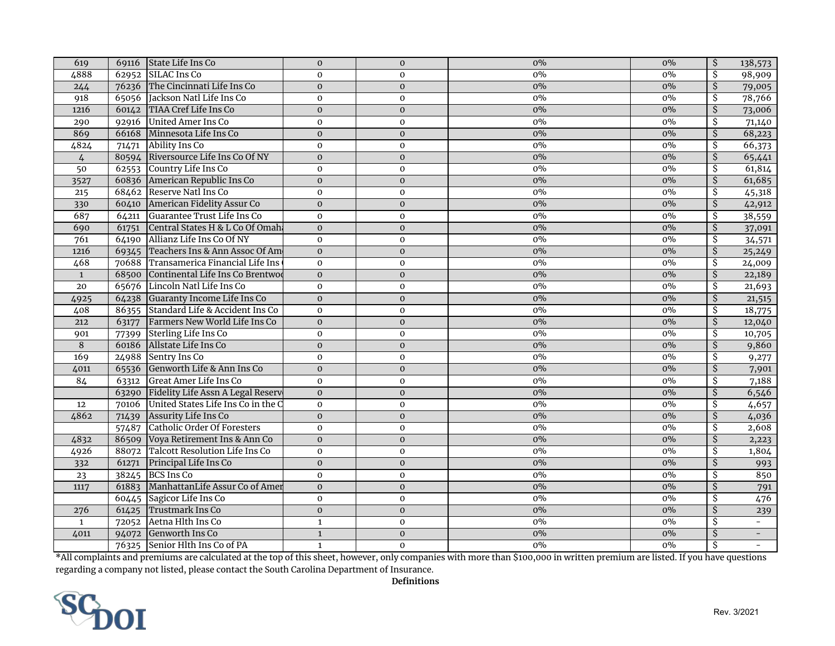| 619              | 69116 | State Life Ins Co                       | $\mathbf{O}$ | $\mathbf{0}$   | 0%    | $0\%$ | $\overline{\mathcal{S}}$ | 138,573                  |
|------------------|-------|-----------------------------------------|--------------|----------------|-------|-------|--------------------------|--------------------------|
| 4888             |       | 62952 SILAC Ins Co                      | $\mathbf 0$  | $\mathbf 0$    | $0\%$ | $0\%$ | \$                       | 98,909                   |
| 244              |       | 76236 The Cincinnati Life Ins Co        | $\mathbf{O}$ | $\mathbf{O}$   | 0%    | $0\%$ | \$                       | 79,005                   |
| 918              |       | 65056 Jackson Natl Life Ins Co          | $\mathbf{O}$ | $\mathbf 0$    | $0\%$ | $0\%$ | \$                       | 78,766                   |
| 1216             |       | 60142 TIAA Cref Life Ins Co             | $\mathbf{O}$ | $\mathbf{0}$   | $0\%$ | $0\%$ | \$                       | 73,006                   |
| 290              |       | 92916 United Amer Ins Co                | $\mathbf 0$  | $\mathbf{O}$   | $0\%$ | 0%    | \$                       | 71,140                   |
| 869              |       | 66168 Minnesota Life Ins Co             | $\Omega$     | $\mathbf{0}$   | 0%    | $0\%$ | Ś.                       | 68,223                   |
| 4824             | 71471 | Ability Ins Co                          | $\mathbf{O}$ | $\mathbf 0$    | $0\%$ | $0\%$ | $\overline{\mathcal{S}}$ | 66,373                   |
| $\overline{4}$   |       | 80594 Riversource Life Ins Co Of NY     | $\mathbf{0}$ | $\mathbf 0$    | $0\%$ | $0\%$ | $\mathcal{S}$            | 65,441                   |
| 50               |       | 62553 Country Life Ins Co               | $\mathbf{O}$ | $\mathbf 0$    | $0\%$ | $0\%$ | \$                       | 61,814                   |
| 3527             |       | 60836 American Republic Ins Co          | $\mathbf 0$  | $\mathbf{0}$   | $0\%$ | $0\%$ | $\mathcal{S}$            | 61,685                   |
| $\frac{1}{215}$  |       | 68462 Reserve Natl Ins Co               | $\mathbf 0$  | $\mathbf 0$    | 0%    | 0%    | \$                       | 45,318                   |
| 330              |       | 60410 American Fidelity Assur Co        | $\mathbf{O}$ | $\mathbf{0}$   | $0\%$ | $0\%$ | $\overline{\mathcal{S}}$ | 42,912                   |
| 687              |       | 64211 Guarantee Trust Life Ins Co       | $\mathbf 0$  | $\mathbf 0$    | 0%    | $0\%$ | \$                       | 38,559                   |
| 690              |       | 61751 Central States H & L Co Of Omaha  | $\mathbf{O}$ | $\mathbf{0}$   | $0\%$ | $0\%$ | $\overline{\mathsf{S}}$  | 37,091                   |
| 761              |       | 64190 Allianz Life Ins Co Of NY         | $\mathbf 0$  | $\mathbf 0$    | 0%    | 0%    | \$                       | 34,571                   |
| 1216             |       | 69345 Teachers Ins & Ann Assoc Of Am    | $\mathbf{0}$ | $\mathbf 0$    | 0%    | $0\%$ | $\overline{\mathcal{S}}$ | 25,249                   |
| 468              |       | 70688 Transamerica Financial Life Ins   | $\Omega$     | $\mathbf 0$    | $0\%$ | $0\%$ | \$                       | 24,009                   |
| $\mathbf{1}$     |       | 68500 Continental Life Ins Co Brentwoo  | $\mathbf 0$  | $\mathbf 0$    | $0\%$ | $0\%$ | $\mathcal{S}$            | 22,189                   |
| 20               |       | 65676 Lincoln Natl Life Ins Co          | $\mathbf 0$  | $\mathbf 0$    | 0%    | $0\%$ | \$                       | 21,693                   |
| 4925             |       | 64238 Guaranty Income Life Ins Co       | $\Omega$     | $\mathbf{O}$   | 0%    | $0\%$ | \$                       | 21,515                   |
| 408              |       | 86355 Standard Life & Accident Ins Co   | $\mathbf 0$  | $\mathbf 0$    | $0\%$ | $0\%$ | $\overline{\mathcal{S}}$ | 18,775                   |
| 212              |       | 63177 Farmers New World Life Ins Co     | $\mathbf{O}$ | $\mathbf 0$    | $0\%$ | $0\%$ | $\mathcal{S}$            | 12,040                   |
| 901              |       | 77399 Sterling Life Ins Co              | $\mathbf 0$  | $\mathbf 0$    | $0\%$ | $0\%$ | \$                       | 10,705                   |
| 8                |       | 60186 Allstate Life Ins Co              | $\Omega$     | $\overline{0}$ | $0\%$ | $0\%$ | $\overline{\mathcal{S}}$ | 9,860                    |
| 169              | 24988 | Sentry Ins Co                           | $\mathbf{O}$ | $\mathbf 0$    | $0\%$ | $0\%$ | $\overline{\mathcal{S}}$ | 9,277                    |
| 4011             | 65536 | Genworth Life & Ann Ins Co              | $\mathbf{O}$ | $\mathbf{0}$   | $0\%$ | $0\%$ | $\mathcal{S}$            | 7,901                    |
| 84               |       | 63312 Great Amer Life Ins Co            | $\mathbf 0$  | $\mathbf{O}$   | $0\%$ | 0%    | \$                       | 7,188                    |
|                  |       | 63290 Fidelity Life Assn A Legal Reserv | $\mathbf 0$  | $\mathbf 0$    | $0\%$ | $0\%$ | $\mathcal{S}$            | 6,546                    |
| 12               | 70106 | United States Life Ins Co in the C      | $\mathbf 0$  | $\mathbf 0$    | 0%    | $0\%$ | \$                       | 4,657                    |
| 4862             | 71439 | Assurity Life Ins Co                    | $\mathbf{O}$ | $\mathbf{0}$   | $0\%$ | $0\%$ | $\overline{\mathcal{S}}$ | 4,036                    |
|                  | 57487 | Catholic Order Of Foresters             | $\Omega$     | $\mathbf{O}$   | $0\%$ | $0\%$ | \$                       | 2,608                    |
| 4832             |       | 86509 Voya Retirement Ins & Ann Co      | $\mathbf{O}$ | $\mathbf 0$    | $0\%$ | $0\%$ | $\overline{\mathcal{S}}$ | 2,223                    |
| 4926             |       | 88072 Talcott Resolution Life Ins Co    | $\mathbf 0$  | $\mathbf 0$    | $0\%$ | 0%    | $\overline{\mathcal{S}}$ | 1,804                    |
| $\overline{332}$ | 61271 | Principal Life Ins Co                   | $\mathbf{O}$ | $\mathbf{O}$   | 0%    | $0\%$ | $\overline{\mathcal{S}}$ | 993                      |
| $\overline{23}$  |       | 38245 BCS Ins Co                        | $\mathbf 0$  | $\mathbf 0$    | 0%    | $0\%$ | \$                       | 850                      |
| 1117             |       | 61883 ManhattanLife Assur Co of Amer    | $\mathbf{O}$ | $\mathbf 0$    | $0\%$ | $0\%$ | $\mathcal{S}$            | 791                      |
|                  |       | 60445 Sagicor Life Ins Co               | $\mathbf 0$  | $\mathbf 0$    | $0\%$ | $0\%$ | \$                       | 476                      |
| 276              | 61425 | Trustmark Ins Co                        | $\Omega$     | $\mathbf{0}$   | 0%    | $0\%$ | \$                       | 239                      |
| $\mathbf{1}$     | 72052 | Aetna Hlth Ins Co                       | $\mathbf{1}$ | $\mathbf 0$    | $0\%$ | $0\%$ | \$                       | $\overline{\phantom{a}}$ |
| 4011             | 94072 | Genworth Ins Co                         | $\mathbf 1$  | $\mathbf 0$    | $0\%$ | $0\%$ | Ś                        | $\overline{\phantom{a}}$ |
|                  |       | 76325 Senior Hlth Ins Co of PA          | $\mathbf{1}$ | $\mathbf{0}$   | 0%    | 0%    | $\overline{\mathcal{S}}$ | $\overline{\phantom{a}}$ |

\*All complaints and premiums are calculated at the top of this sheet, however, only companies with more than \$100,000 in written premium are listed. If you have questions regarding a company not listed, please contact the South Carolina Department of Insurance.